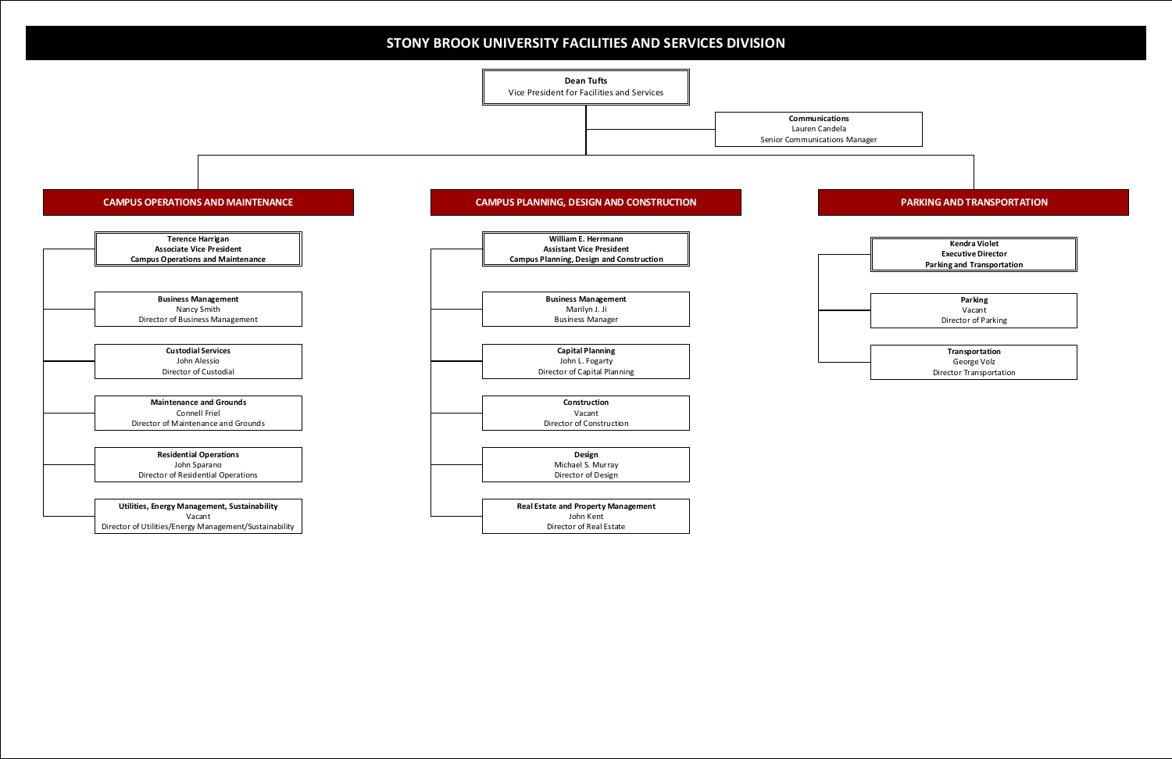

# **Terence Harrigan Associate Vice President Campus Operations and Maintenance Maintenance and Grounds** Connell Friel Director of Maintenance and Grounds **Residential Operations** John Sparano Director of Residential Operations **Custodial Services** John Alessio Director of Custodial **Business Management** Nancy Smith Director of Business Management



#### **CAMPUS OPERATIONS AND MAINTENANCE PARKING AND TRANSPORTATION CAMPUS PLANNING, DESIGN AND CONSTRUCTION**

| Utilities, Energy Management, Sustainability           |
|--------------------------------------------------------|
| Vacant                                                 |
| Director of Utilities/Energy Management/Sustainability |

## **STONY BROOK UNIVERSITY FACILITIES AND SERVICES DIVISION**

**Communications** Lauren Candela

Senior Communications Manager

**Kendra Violet Executive Director Parking and Transportation**

**Transportation** George Volz Director Transportation

**Parking** Vacant Director of Parking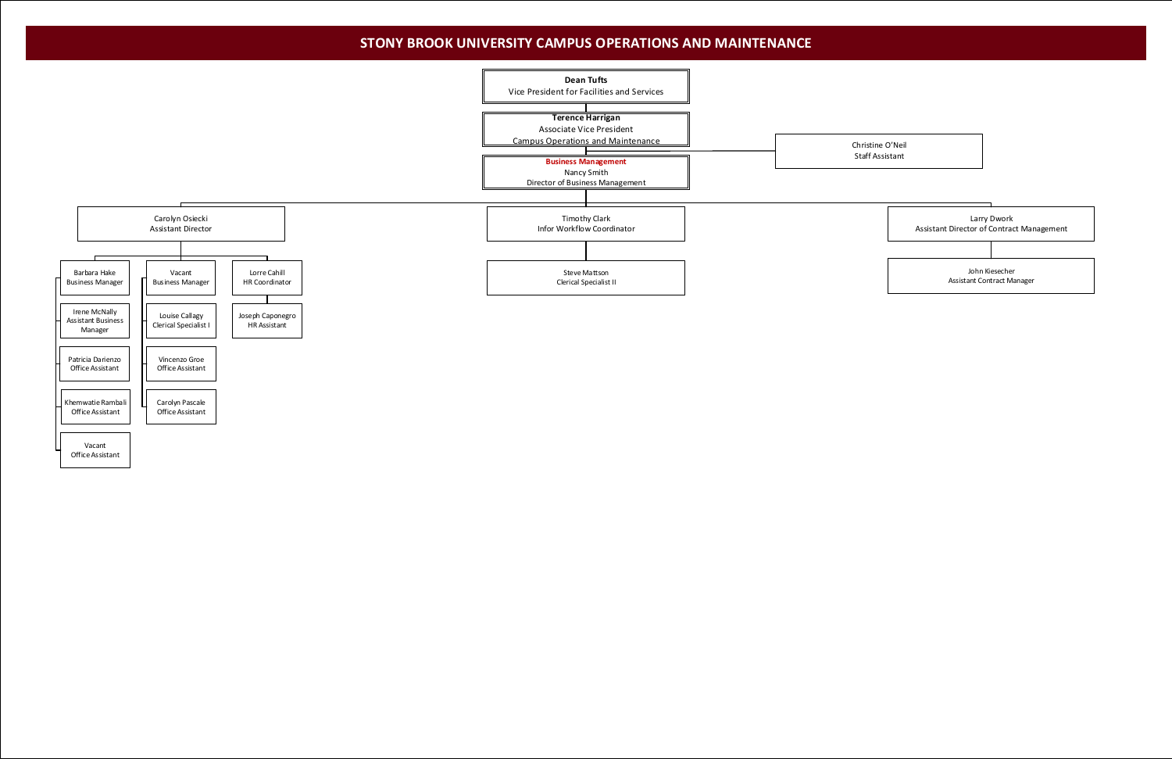Larry Dwork Assistant Director of Contract Management



John Kiesecher Assistant Contract Manager

Christine O'Neil Staff Assistant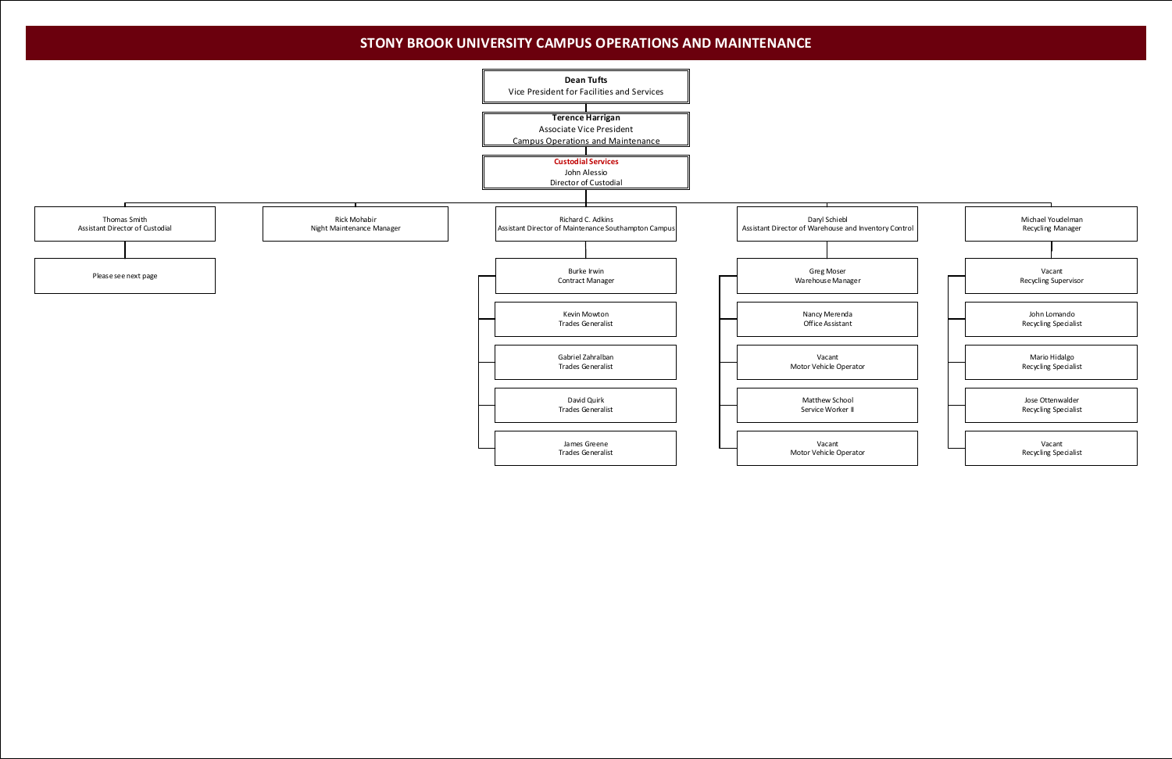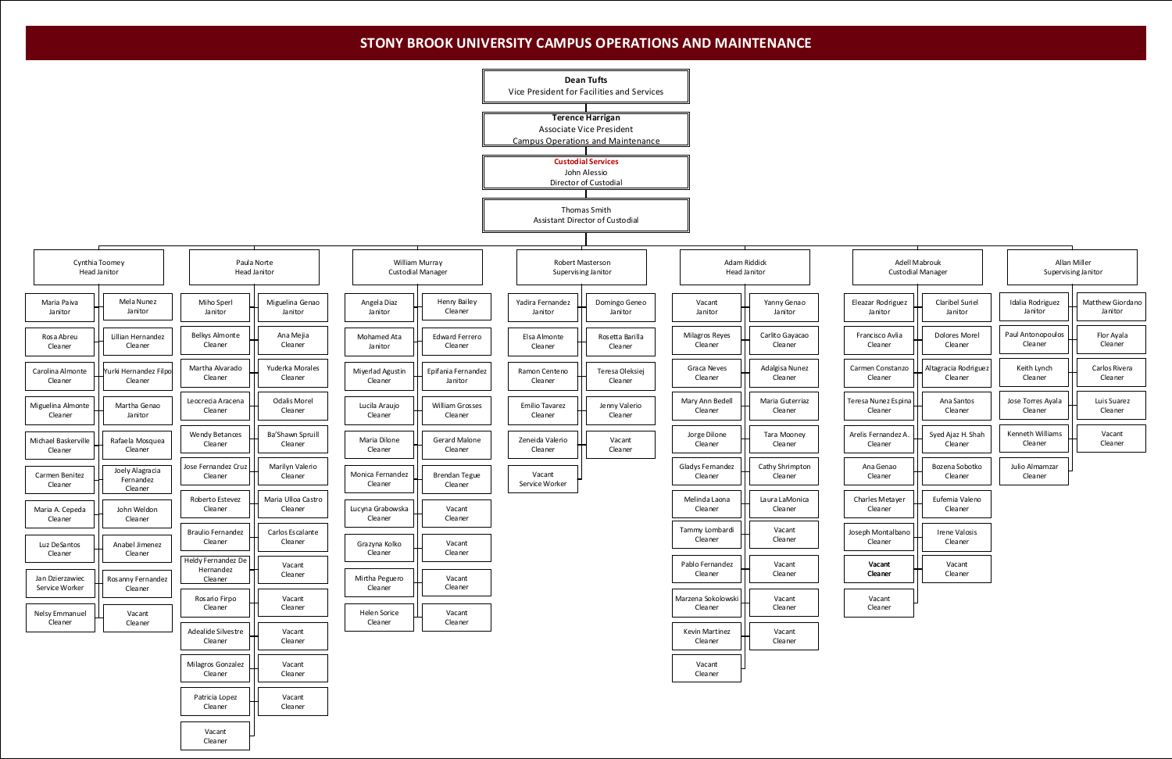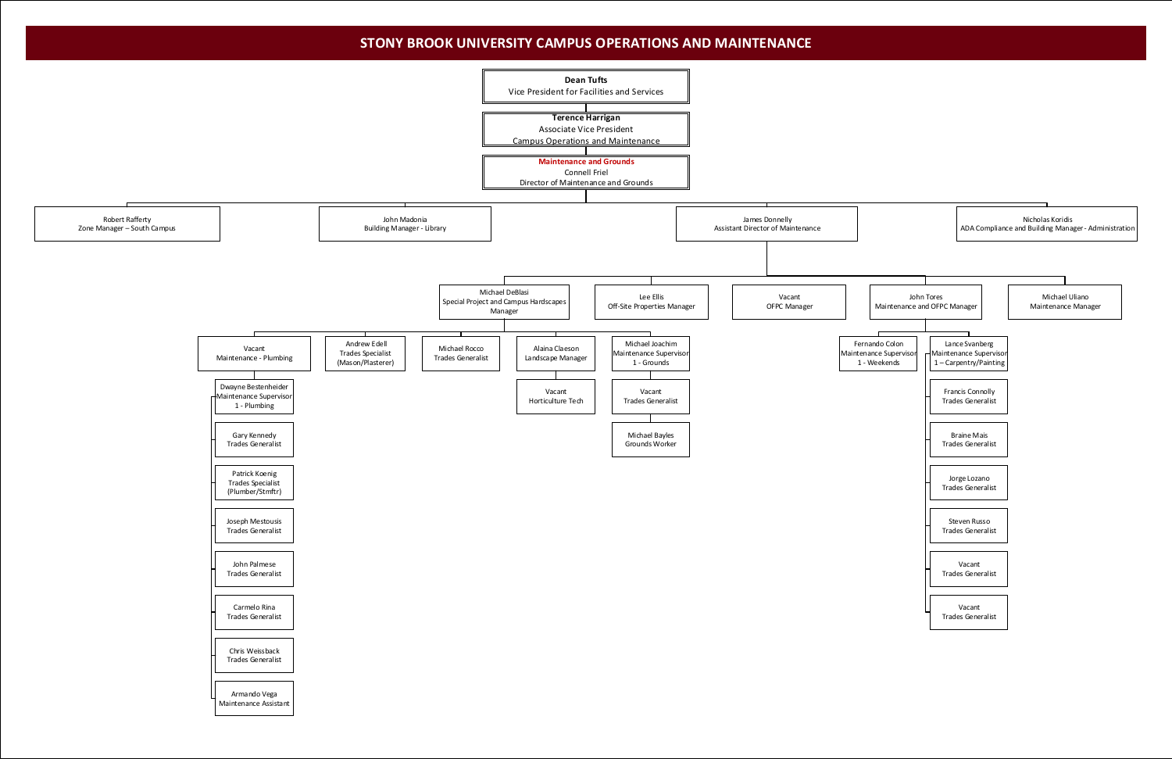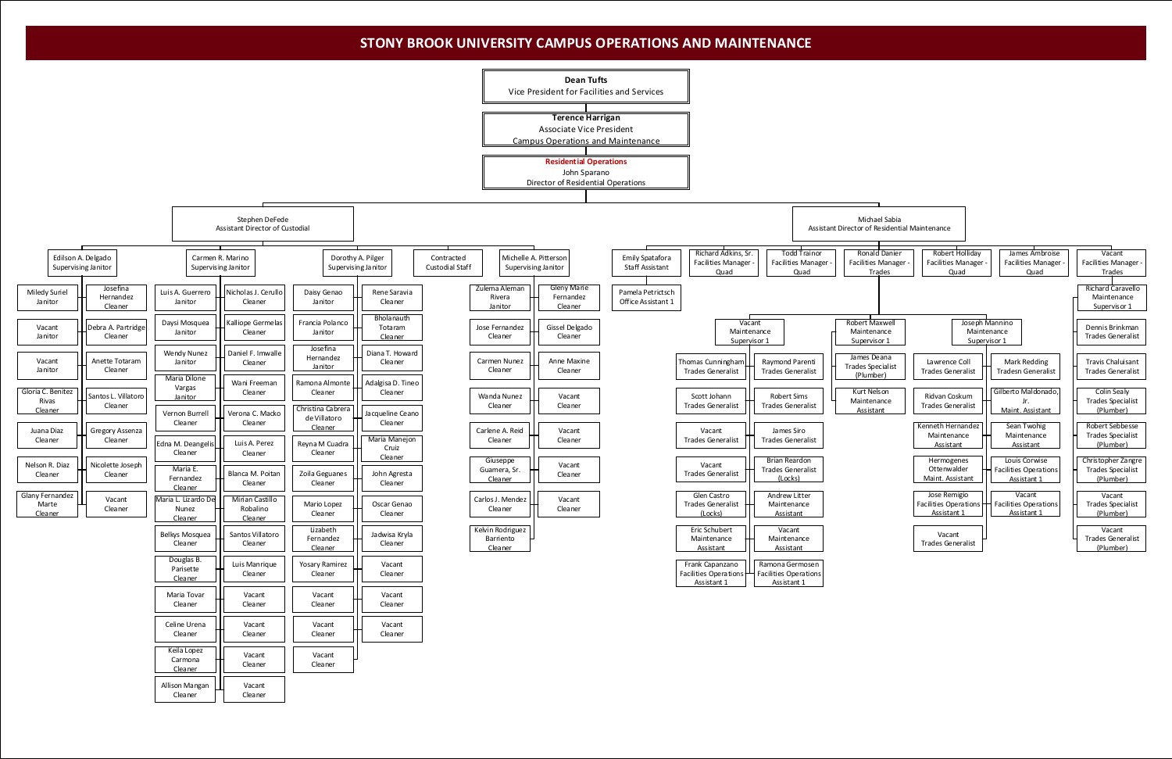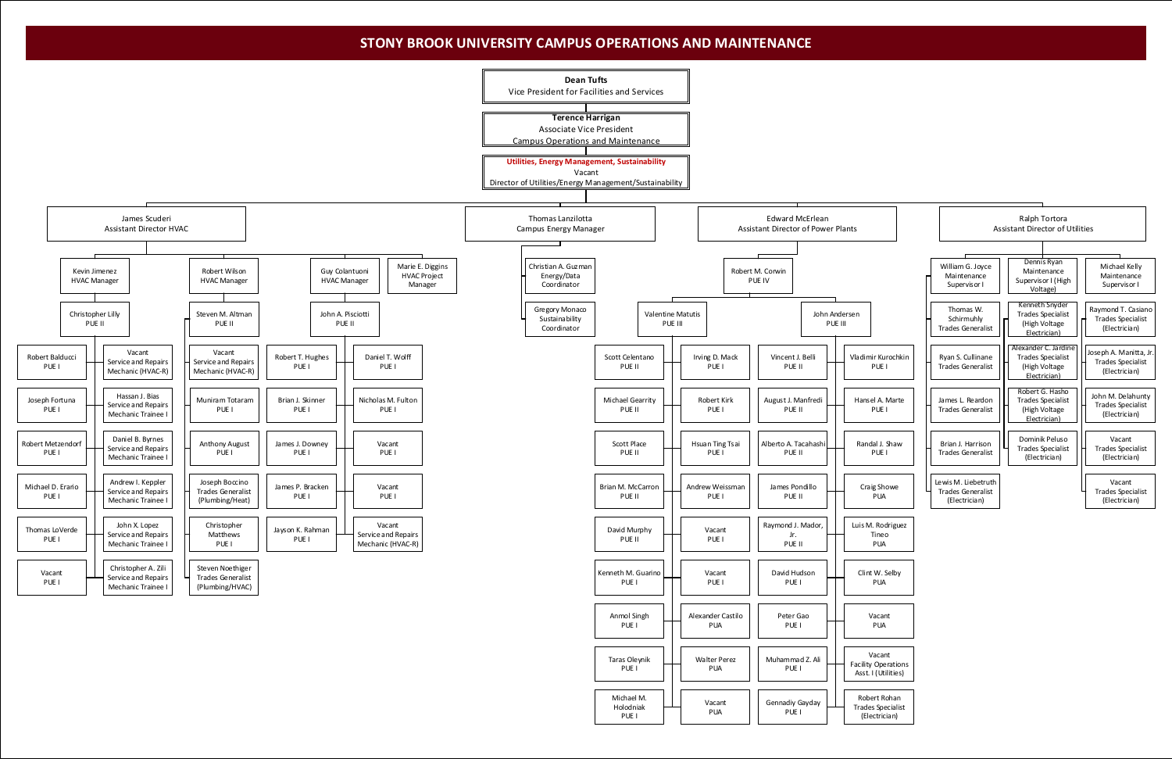

(Electrician)